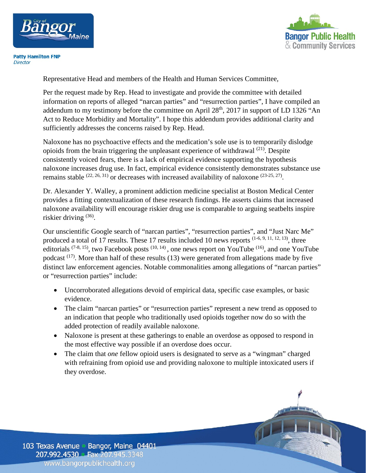



**Patty Hamilton FNP** Director

Representative Head and members of the Health and Human Services Committee,

Per the request made by Rep. Head to investigate and provide the committee with detailed information on reports of alleged "narcan parties" and "resurrection parties", I have compiled an addendum to my testimony before the committee on April 28<sup>th</sup>, 2017 in support of LD 1326 "An Act to Reduce Morbidity and Mortality". I hope this addendum provides additional clarity and sufficiently addresses the concerns raised by Rep. Head.

Naloxone has no psychoactive effects and the medication's sole use is to temporarily dislodge opioids from the brain triggering the unpleasant experience of withdrawal  $^{(21)}$ . Despite consistently voiced fears, there is a lack of empirical evidence supporting the hypothesis naloxone increases drug use. In fact, empirical evidence consistently demonstrates substance use remains stable  $(22, 26, 31)$  or decreases with increased availability of naloxone  $(23-25, 27)$ .

Dr. Alexander Y. Walley, a prominent addiction medicine specialist at Boston Medical Center provides a fitting contextualization of these research findings. He asserts claims that increased naloxone availability will encourage riskier drug use is comparable to arguing seatbelts inspire riskier driving (36).

Our unscientific Google search of "narcan parties", "resurrection parties", and "Just Narc Me" produced a total of 17 results. These 17 results included 10 news reports  $(1-6, 9, 11, 12, 13)$ , three editorials  $(7-8, 15)$ , two Facebook posts  $(10, 14)$ , one news report on YouTube  $(16)$ , and one YouTube podcast  $(17)$ . More than half of these results (13) were generated from allegations made by five distinct law enforcement agencies. Notable commonalities among allegations of "narcan parties" or "resurrection parties" include:

- Uncorroborated allegations devoid of empirical data, specific case examples, or basic evidence.
- The claim "narcan parties" or "resurrection parties" represent a new trend as opposed to an indication that people who traditionally used opioids together now do so with the added protection of readily available naloxone.
- Naloxone is present at these gatherings to enable an overdose as opposed to respond in the most effective way possible if an overdose does occur.
- The claim that *one* fellow opioid users is designated to serve as a "wingman" charged with refraining from opioid use and providing naloxone to multiple intoxicated users if they overdose.

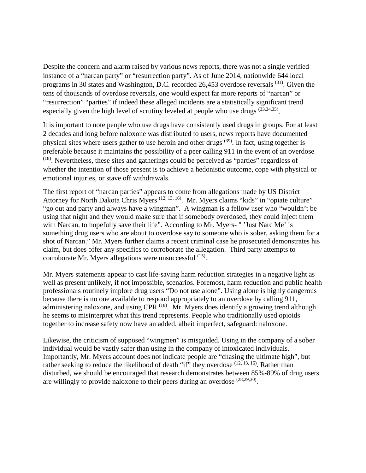Despite the concern and alarm raised by various news reports, there was not a single verified instance of a "narcan party" or "resurrection party". As of June 2014, nationwide 644 local programs in 30 states and Washington, D.C. recorded 26,453 overdose reversals (31). Given the tens of thousands of overdose reversals, one would expect far more reports of "narcan" or "resurrection" "parties" if indeed these alleged incidents are a statistically significant trend especially given the high level of scrutiny leveled at people who use drugs (33,34,35).

It is important to note people who use drugs have consistently used drugs in groups. For at least 2 decades and long before naloxone was distributed to users, news reports have documented physical sites where users gather to use heroin and other drugs (39). In fact, using together is preferable because it maintains the possibility of a peer calling 911 in the event of an overdose (18). Nevertheless, these sites and gatherings could be perceived as "parties" regardless of whether the intention of those present is to achieve a hedonistic outcome, cope with physical or emotional injuries, or stave off withdrawals.

The first report of "narcan parties" appears to come from allegations made by US District Attorney for North Dakota Chris Myers <sup>(12, 13, 16)</sup>. Mr. Myers claims "kids" in "opiate culture" "go out and party and always have a wingman". A wingman is a fellow user who "wouldn't be using that night and they would make sure that if somebody overdosed, they could inject them with Narcan, to hopefully save their life". According to Mr. Myers- "'Just Narc Me' is something drug users who are about to overdose say to someone who is sober, asking them for a shot of Narcan." Mr. Myers further claims a recent criminal case he prosecuted demonstrates his claim, but does offer any specifics to corroborate the allegation. Third party attempts to corroborate Mr. Myers allegations were unsuccessful (15).

Mr. Myers statements appear to cast life-saving harm reduction strategies in a negative light as well as present unlikely, if not impossible, scenarios. Foremost, harm reduction and public health professionals routinely implore drug users "Do not use alone". Using alone is highly dangerous because there is no one available to respond appropriately to an overdose by calling 911, administering naloxone, and using CPR<sup> $(18)$ </sup>. Mr. Myers does identify a growing trend although he seems to misinterpret what this trend represents. People who traditionally used opioids together to increase safety now have an added, albeit imperfect, safeguard: naloxone.

Likewise, the criticism of supposed "wingmen" is misguided. Using in the company of a sober individual would be vastly safer than using in the company of intoxicated individuals. Importantly, Mr. Myers account does not indicate people are "chasing the ultimate high", but rather seeking to reduce the likelihood of death "if" they overdose  $(12, 13, 16)$ . Rather than disturbed, we should be encouraged that research demonstrates between 85%-89% of drug users are willingly to provide naloxone to their peers during an overdose  $(28,29,30)$ .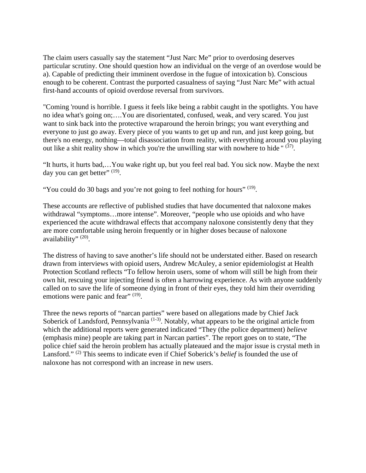The claim users casually say the statement "Just Narc Me" prior to overdosing deserves particular scrutiny. One should question how an individual on the verge of an overdose would be a). Capable of predicting their imminent overdose in the fugue of intoxication b). Conscious enough to be coherent. Contrast the purported casualness of saying "Just Narc Me" with actual first-hand accounts of opioid overdose reversal from survivors.

"Coming 'round is horrible. I guess it feels like being a rabbit caught in the spotlights. You have no idea what's going on;….You are disorientated, confused, weak, and very scared. You just want to sink back into the protective wraparound the heroin brings; you want everything and everyone to just go away. Every piece of you wants to get up and run, and just keep going, but there's no energy, nothing—total disassociation from reality, with everything around you playing out like a shit reality show in which you're the unwilling star with nowhere to hide " $(37)$ .

"It hurts, it hurts bad,…You wake right up, but you feel real bad. You sick now. Maybe the next day you can get better"  $(19)$ .

"You could do 30 bags and you're not going to feel nothing for hours"  $(19)$ .

These accounts are reflective of published studies that have documented that naloxone makes withdrawal "symptoms…more intense". Moreover, "people who use opioids and who have experienced the acute withdrawal effects that accompany naloxone consistently deny that they are more comfortable using heroin frequently or in higher doses because of naloxone availability"  $(20)$ .

The distress of having to save another's life should not be understated either. Based on research drawn from interviews with opioid users, Andrew McAuley, a senior epidemiologist at Health Protection Scotland reflects "To fellow heroin users, some of whom will still be high from their own hit, rescuing your injecting friend is often a harrowing experience. As with anyone suddenly called on to save the life of someone dying in front of their eyes, they told him their overriding emotions were panic and fear" (19).

Three the news reports of "narcan parties" were based on allegations made by Chief Jack Soberick of Landsford, Pennsylvania<sup>(1-3)</sup>. Notably, what appears to be the original article from which the additional reports were generated indicated "They (the police department) *believe* (emphasis mine) people are taking part in Narcan parties". The report goes on to state, "The police chief said the heroin problem has actually plateaued and the major issue is crystal meth in Lansford." <sup>(2)</sup> This seems to indicate even if Chief Soberick's *belief* is founded the use of naloxone has not correspond with an increase in new users.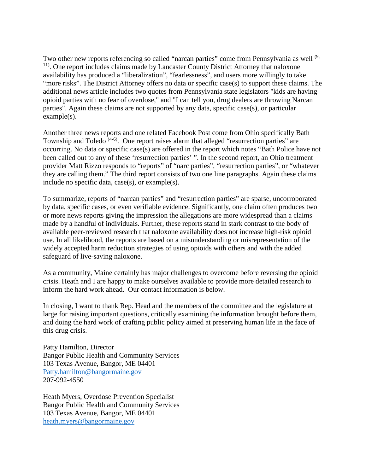Two other new reports referencing so called "narcan parties" come from Pennsylvania as well <sup>(9,</sup> <sup>11)</sup>. One report includes claims made by Lancaster County District Attorney that naloxone availability has produced a "liberalization", "fearlessness", and users more willingly to take "more risks". The District Attorney offers no data or specific case(s) to support these claims. The additional news article includes two quotes from Pennsylvania state legislators "kids are having opioid parties with no fear of overdose," and "I can tell you, drug dealers are throwing Narcan parties". Again these claims are not supported by any data, specific case(s), or particular example(s).

Another three news reports and one related Facebook Post come from Ohio specifically Bath Township and Toledo<sup> $(4-6)$ </sup>. One report raises alarm that alleged "resurrection parties" are occurring. No data or specific case(s) are offered in the report which notes "Bath Police have not been called out to any of these 'resurrection parties' ". In the second report, an Ohio treatment provider Matt Rizzo responds to "reports" of "narc parties", "resurrection parties", or "whatever they are calling them." The third report consists of two one line paragraphs. Again these claims include no specific data, case(s), or example(s).

To summarize, reports of "narcan parties" and "resurrection parties" are sparse, uncorroborated by data, specific cases, or even verifiable evidence. Significantly, one claim often produces two or more news reports giving the impression the allegations are more widespread than a claims made by a handful of individuals. Further, these reports stand in stark contrast to the body of available peer-reviewed research that naloxone availability does not increase high-risk opioid use. In all likelihood, the reports are based on a misunderstanding or misrepresentation of the widely accepted harm reduction strategies of using opioids with others and with the added safeguard of live-saving naloxone.

As a community, Maine certainly has major challenges to overcome before reversing the opioid crisis. Heath and I are happy to make ourselves available to provide more detailed research to inform the hard work ahead. Our contact information is below.

In closing, I want to thank Rep. Head and the members of the committee and the legislature at large for raising important questions, critically examining the information brought before them, and doing the hard work of crafting public policy aimed at preserving human life in the face of this drug crisis.

Patty Hamilton, Director Bangor Public Health and Community Services 103 Texas Avenue, Bangor, ME 04401 [Patty.hamilton@bangormaine.gov](mailto:Patty.hamilton@bangormaine.gov) 207-992-4550

Heath Myers, Overdose Prevention Specialist Bangor Public Health and Community Services 103 Texas Avenue, Bangor, ME 04401 [heath.myers@bangormaine.gov](mailto:heath.myers@bangormaine.gov)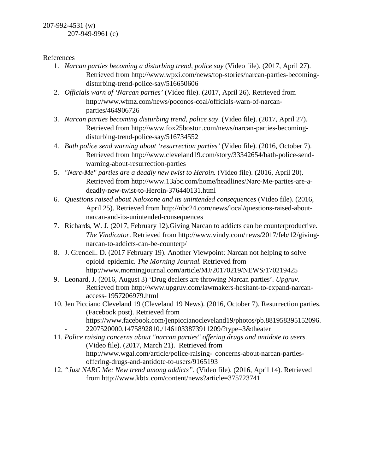207-992-4531 (w) 207-949-9961 (c)

References

- 1. *Narcan parties becoming a disturbing trend, police say* (Video file). (2017, April 27). Retrieved from http://www.wpxi.com/news/top-stories/narcan-parties-becomingdisturbing-trend-police-say/516650606
- 2. *Officials warn of 'Narcan parties'* (Video file). (2017, April 26). Retrieved from http://www.wfmz.com/news/poconos-coal/officials-warn-of-narcanparties/464906726
- 3. *Narcan parties becoming disturbing trend, police say*. (Video file). (2017, April 27). Retrieved from http://www.fox25boston.com/news/narcan-parties-becomingdisturbing-trend-police-say/516734552
- 4. *Bath police send warning about 'resurrection parties'* (Video file). (2016, October 7). Retrieved from http://www.cleveland19.com/story/33342654/bath-police-sendwarning-about-resurrection-parties
- 5. *"Narc-Me" parties are a deadly new twist to Heroin.* (Video file). (2016, April 20). Retrieved from http://www.13abc.com/home/headlines/Narc-Me-parties-are-adeadly-new-twist-to-Heroin-376440131.html
- 6. *Questions raised about Naloxone and its unintended consequences* (Video file). (2016, April 25). Retrieved from http://nbc24.com/news/local/questions-raised-aboutnarcan-and-its-unintended-consequences
- 7. Richards, W. J. (2017, February 12).Giving Narcan to addicts can be counterproductive. *The Vindicator*. Retrieved from http://www.vindy.com/news/2017/feb/12/givingnarcan-to-addicts-can-be-counterp/
- 8. J. Grendell. D. (2017 February 19). Another Viewpoint: Narcan not helping to solve opioid epidemic. *The Morning Journal.* Retrieved from http://www.morningjournal.com/article/MJ/20170219/NEWS/170219425
- 9. Leonard, J. (2016, August 3) 'Drug dealers are throwing Narcan parties'. *Upgruv*. Retrieved from http://www.upgruv.com/lawmakers-hesitant-to-expand-narcanaccess-1957206979.html
- 10. Jen Picciano Cleveland 19 (Cleveland 19 News). (2016, October 7). Resurrection parties. (Facebook post). Retrieved from https://www.facebook.com/jenpiccianocleveland19/photos/pb.881958395152096.
	- 2207520000.1475892810./1461033873911209/?type=3&theater
- 11. *Police raising concerns about "narcan parties" offering drugs and antidote to users.* (Video file). (2017, March 21). Retrieved from http://www.wgal.com/article/police-raising- concerns-about-narcan-partiesoffering-drugs-and-antidote-to-users/9165193
- 12. *"Just NARC Me: New trend among addicts"*. (Video file). (2016, April 14). Retrieved from http://www.kbtx.com/content/news?article=375723741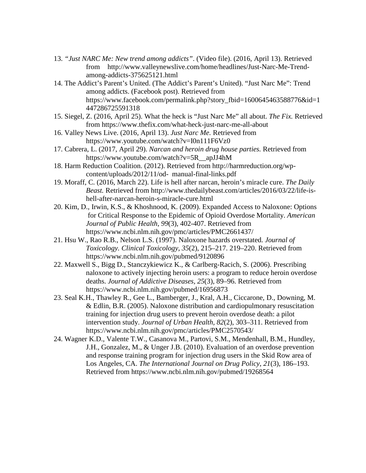- 13. *"Just NARC Me: New trend among addicts"*. (Video file). (2016, April 13). Retrieved from http://www.valleynewslive.com/home/headlines/Just-Narc-Me-Trendamong-addicts-375625121.html
- 14. The Addict's Parent's United. (The Addict's Parent's United). "Just Narc Me": Trend among addicts. (Facebook post). Retrieved from https://www.facebook.com/permalink.php?story\_fbid=1600645463588776&id=1 447286725591318
- 15. Siegel, Z. (2016, April 25). What the heck is "Just Narc Me" all about. *The Fix.* Retrieved from https://www.thefix.com/what-heck-just-narc-me-all-about
- 16. Valley News Live. (2016, April 13). *Just Narc Me.* Retrieved from https://www.youtube.com/watch?v=I0n111F6Vz0
- 17. Cabrera, L. (2017, April 29). *Narcan and heroin drug house parties.* Retrieved from https://www.youtube.com/watch?v=5R\_\_apJJ4hM
- 18. Harm Reduction Coalition. (2012). Retrieved from http://harmreduction.org/wpcontent/uploads/2012/11/od- manual-final-links.pdf
- 19. Moraff, C. (2016, March 22). Life is hell after narcan, heroin's miracle cure. *The Daily Beast.* Retrieved from http://www.thedailybeast.com/articles/2016/03/22/life-ishell-after-narcan-heroin-s-miracle-cure.html
- 20. Kim, D., Irwin, K.S., & Khoshnood, K. (2009). Expanded Access to Naloxone: Options for Critical Response to the Epidemic of Opioid Overdose Mortality. *American Journal of Public Health*, *99*(3), 402-407. Retrieved from https://www.ncbi.nlm.nih.gov/pmc/articles/PMC2661437/
- 21. Hsu W., Rao R.B., Nelson L.S. (1997). Naloxone hazards overstated. *Journal of Toxicology. Clinical Toxicology*, *35*(2), 215–217. 219–220. Retrieved from https://www.ncbi.nlm.nih.gov/pubmed/9120896
- 22. Maxwell S., Bigg D., Stanczykiewicz K., & Carlberg-Racich, S. (2006). Prescribing naloxone to actively injecting heroin users: a program to reduce heroin overdose deaths. *Journal of Addictive Diseases, 25*(3), 89–96. Retrieved from https://www.ncbi.nlm.nih.gov/pubmed/16956873
- 23. Seal K.H., Thawley R., Gee L., Bamberger, J., Kral, A.H., Ciccarone, D., Downing, M. & Edlin, B.R. (2005). Naloxone distribution and cardiopulmonary resuscitation training for injection drug users to prevent heroin overdose death: a pilot intervention study. *Journal of Urban Health, 82*(2), 303–311. Retrieved from https://www.ncbi.nlm.nih.gov/pmc/articles/PMC2570543/
- 24. Wagner K.D., Valente T.W., Casanova M., Partovi, S.M., Mendenhall, B.M., Hundley, J.H., Gonzalez, M., & Unger J.B. (2010). Evaluation of an overdose prevention and response training program for injection drug users in the Skid Row area of Los Angeles, CA. *The International Journal on Drug Policy*, *21*(3), 186–193. Retrieved from https://www.ncbi.nlm.nih.gov/pubmed/19268564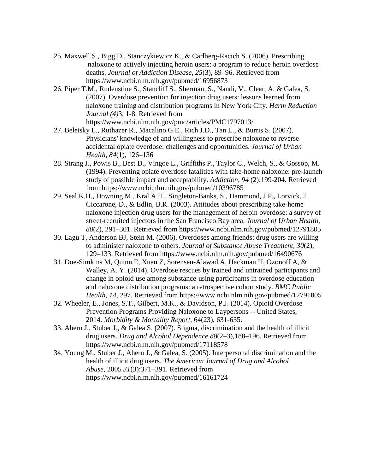- 25. Maxwell S., Bigg D., Stanczykiewicz K., & Carlberg-Racich S. (2006). Prescribing naloxone to actively injecting heroin users: a program to reduce heroin overdose deaths. *Journal of Addiction Disease, 25*(3), 89–96. Retrieved from https://www.ncbi.nlm.nih.gov/pubmed/16956873
- 26. Piper T.M., Rudenstine S., Stancliff S., Sherman, S., Nandi, V., Clear, A. & Galea, S. (2007). Overdose prevention for injection drug users: lessons learned from naloxone training and distribution programs in New York City. *Harm Reduction Journal (4)*3, 1-8. Retrieved from https://www.ncbi.nlm.nih.gov/pmc/articles/PMC1797013/
- 27. Beletsky L., Ruthazer R., Macalino G.E., Rich J.D., Tan L., & Burris S. (2007). Physicians' knowledge of and willingness to prescribe naloxone to reverse accidental opiate overdose: challenges and opportunities. *Journal of Urban Health, 84*(1), 126–136
- 28. Strang J., Powis B., Best D., Vingoe L., Griffiths P., Taylor C., Welch, S., & Gossop, M. (1994). Preventing opiate overdose fatalities with take-home naloxone: pre-launch study of possible impact and acceptability. *Addiction*, *94* (2):199-204. Retrieved from https://www.ncbi.nlm.nih.gov/pubmed/10396785
- 29. Seal K.H., Downing M., Kral A.H., Singleton-Banks, S., Hammond, J.P., Lorvick, J., Ciccarone, D., & Edlin, B.R. (2003). Attitudes about prescribing take-home naloxone injection drug users for the management of heroin overdose: a survey of street-recruited injectors in the San Francisco Bay area. *Journal of Urban Health, 80*(2), 291–301. Retrieved from https://www.ncbi.nlm.nih.gov/pubmed/12791805
- 30. Lagu T, Anderson BJ, Stein M. (2006). Overdoses among friends: drug users are willing to administer naloxone to others. *Journal of Substance Abuse Treatment, 30*(2), 129–133. Retrieved from https://www.ncbi.nlm.nih.gov/pubmed/16490676
- 31. Doe-Simkins M, Quinn E, Xuan Z, Sorensen-Alawad A, Hackman H, Ozonoff A, & Walley, A. Y. (2014). Overdose rescues by trained and untrained participants and change in opioid use among substance-using participants in overdose education and naloxone distribution programs: a retrospective cohort study. *BMC Public Health*, *14*, 297. Retrieved from https://www.ncbi.nlm.nih.gov/pubmed/12791805
- 32. Wheeler, E., Jones, S.T., Gilbert, M.K., & Davidson, P.J. (2014). Opioid Overdose Prevention Programs Providing Naloxone to Laypersons -- United States, 2014. *Morbidity & Mortality Report,* 64(23), 631-635.
- 33. Ahern J., Stuber J., & Galea S. (2007). Stigma, discrimination and the health of illicit drug users. *Drug and Alcohol Dependence 88*(2–3),188–196. Retrieved from https://www.ncbi.nlm.nih.gov/pubmed/17118578
- 34. Young M., Stuber J., Ahern J., & Galea, S. (2005). Interpersonal discrimination and the health of illicit drug users. *The American Journal of Drug and Alcohol Abuse*, 2005 *31*(3):371–391. Retrieved from https://www.ncbi.nlm.nih.gov/pubmed/16161724